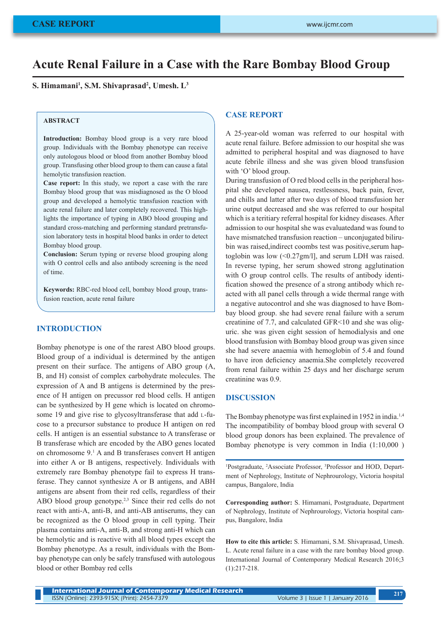# **Acute Renal Failure in a Case with the Rare Bombay Blood Group**

 $\mathbf{S}.$  **Himamani<sup>1</sup>, S.M. Shivaprasad<sup>2</sup>, Umesh.**  $\mathbf{L}^3$ 

# **ABSTRACT**

**Introduction:** Bombay blood group is a very rare blood group. Individuals with the Bombay phenotype can receive only autologous blood or blood from another Bombay blood group. Transfusing other blood group to them can cause a fatal hemolytic transfusion reaction.

**Case report:** In this study, we report a case with the rare Bombay blood group that was misdiagnosed as the O blood group and developed a hemolytic transfusion reaction with acute renal failure and later completely recovered. This highlights the importance of typing in ABO blood grouping and standard cross-matching and performing standard pretransfusion laboratory tests in hospital blood banks in order to detect Bombay blood group.

**Conclusion:** Serum typing or reverse blood grouping along with O control cells and also antibody screening is the need of time.

**Keywords:** RBC-red blood cell, bombay blood group, transfusion reaction, acute renal failure

## **INTRODUCTION**

Bombay phenotype is one of the rarest ABO blood groups. Blood group of a individual is determined by the antigen present on their surface. The antigens of ABO group (A, B, and H) consist of complex carbohydrate molecules. The expression of A and B antigens is determined by the presence of H antigen on precussor red blood cells. H antigen can be synthesized by H gene which is located on chromosome 19 and give rise to glycosyltransferase that add L-fucose to a precursor substance to produce H antigen on red cells. H antigen is an essential substance to A transferase or B transferase which are encoded by the ABO genes located on chromosome 9.<sup>1</sup> A and B transferases convert H antigen into either A or B antigens, respectively. Individuals with extremely rare Bombay phenotype fail to express H transferase. They cannot synthesize A or B antigens, and ABH antigens are absent from their red cells, regardless of their ABO blood group genotype.<sup>2,3</sup> Since their red cells do not react with anti-A, anti-B, and anti-AB antiserums, they can be recognized as the O blood group in cell typing. Their plasma contains anti-A, anti-B, and strong anti-H which can be hemolytic and is reactive with all blood types except the Bombay phenotype. As a result, individuals with the Bombay phenotype can only be safely transfused with autologous blood or other Bombay red cells

#### **CASE REPORT**

A 25-year-old woman was referred to our hospital with acute renal failure. Before admission to our hospital she was admitted to peripheral hospital and was diagnosed to have acute febrile illness and she was given blood transfusion with 'O' blood group.

During transfusion of O red blood cells in the peripheral hospital she developed nausea, restlessness, back pain, fever, and chills and latter after two days of blood transfusion her urine output decreased and she was referred to our hospital which is a teritiary referral hospital for kidney diseases. After admission to our hospital she was evaluatedand was found to have mismatched transfusion reaction – unconjugated bilirubin was raised,indirect coombs test was positive,serum haptoglobin was low (<0.27gm/l], and serum LDH was raised. In reverse typing, her serum showed strong agglutination with O group control cells. The results of antibody identification showed the presence of a strong antibody which reacted with all panel cells through a wide thermal range with a negative autocontrol and she was diagnosed to have Bombay blood group. she had severe renal failure with a serum creatinine of 7.7, and calculated GFR<10 and she was oliguric. she was given eight session of hemodialysis and one blood transfusion with Bombay blood group was given since she had severe anaemia with hemoglobin of 5.4 and found to have iron deficiency anaemia.She completely recovered from renal failure within 25 days and her discharge serum creatinine was 0.9.

## **DISCUSSION**

The Bombay phenotype was first explained in 1952 in india.<sup>1,4</sup> The incompatibility of bombay blood group with several O blood group donors has been explained. The prevalence of Bombay phenotype is very common in India (1:10,000 )

<sup>1</sup>Postgraduate, <sup>2</sup>Associate Professor, <sup>3</sup>Professor and HOD, Department of Nephrology, Institute of Nephrourology, Victoria hospital campus, Bangalore, India

**Corresponding author:** S. Himamani, Postgraduate, Department of Nephrology, Institute of Nephrourology, Victoria hospital campus, Bangalore, India

**How to cite this article:** S. Himamani, S.M. Shivaprasad, Umesh. L. Acute renal failure in a case with the rare bombay blood group. International Journal of Contemporary Medical Research 2016;3 (1):217-218.